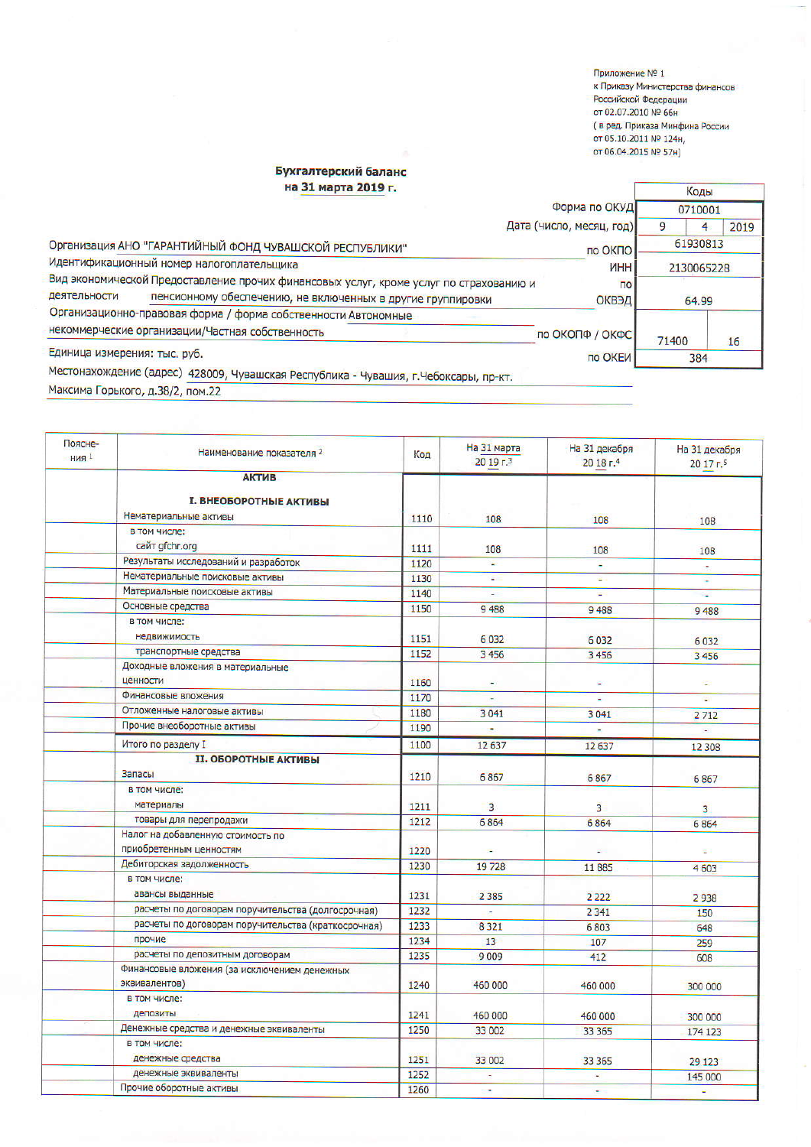Приложение № 1 к Приказу Министерства финансов Российской Федерации от 02.07.2010 № 66н ( в ред. Приказа Минфина России ОТ 05.10.2011 № 124н, от 06.04.2015 № 57н)

## Бухгалтерский баланс на 31 марта 2019 г.

| на 31 марта 2019 г.                                                                    |                          |            | Коды |  |
|----------------------------------------------------------------------------------------|--------------------------|------------|------|--|
|                                                                                        | 0710001                  |            |      |  |
|                                                                                        | Дата (число, месяц, год) | 9          | 2019 |  |
| Организация АНО "ГАРАНТИЙНЫЙ ФОНД ЧУВАШСКОЙ РЕСПУБЛИКИ"                                | 61930813                 |            |      |  |
| Идентификационный номер налогоплательщика                                              | <b>UHH</b>               | 2130065228 |      |  |
| Вид экономической Предоставление прочих финансовых услуг, кроме услуг по страхованию и | $\overline{p}$           |            |      |  |
| деятельности<br>пенсионному обеспечению, не включенных в другие группировки            | ОКВЭД                    | 64.99      |      |  |
| Организационно-правовая форма / форма собственности Автономные                         |                          |            |      |  |
| некоммерческие организации/Частная собственность                                       | по ОКОПФ / ОКФС          | 71400      | 16   |  |
| Единица измерения: тыс. руб.                                                           | по ОКЕИ                  | 384        |      |  |
| Местонахождение (адрес) 428009, Чувашская Республика - Чувашия, г.Чебоксары, пр-кт.    |                          |            |      |  |

Максима Горького, д.38/2, пом.22

| Поясне-<br><b>НИЯ</b> 1 | Наименование показателя 2                                    | Код  | На 31 марта<br>20 19 г.3 | На 31 декабря<br>20 18 г.4 | На 31 декабря<br>20 17 r.5 |
|-------------------------|--------------------------------------------------------------|------|--------------------------|----------------------------|----------------------------|
|                         | <b>АКТИВ</b>                                                 |      |                          |                            |                            |
|                         | <b>I. ВНЕОБОРОТНЫЕ АКТИВЫ</b><br>Нематериальные активы       |      |                          |                            |                            |
|                         | в том числе:                                                 | 1110 | 108                      | 108                        | 108                        |
|                         | сайт gfchr.org                                               |      |                          |                            |                            |
|                         | Результаты исследований и разработок                         | 1111 | 108                      | 108                        | 108                        |
|                         | Нематериальные поисковые активы                              | 1120 | ÷.                       |                            | ÷                          |
|                         | Материальные поисковые активы                                | 1130 | ÷.                       | g.                         | Ξ                          |
|                         |                                                              | 1140 |                          |                            | ÷.                         |
|                         | Основные средства                                            | 1150 | 9488                     | 9488                       | 9488                       |
|                         | в том числе:<br>недвижимость                                 | 1151 | 6032                     | 6032                       | 6032                       |
|                         | транспортные средства                                        | 1152 | 3456                     | 3 4 5 6                    | 3 4 5 6                    |
|                         | Доходные вложения в материальные<br>ценности                 | 1160 |                          |                            | ÷                          |
|                         | Финансовые вложения                                          | 1170 |                          |                            | Đ)                         |
|                         | Отложенные налоговые активы                                  | 1180 | 3041                     | 3041                       | 2712                       |
|                         | Прочие внеоборотные активы                                   | 1190 |                          |                            | ¥.                         |
|                         | Итого по разделу I                                           | 1100 | 12637                    | 12637                      | 12 308                     |
|                         | <b>II. ОБОРОТНЫЕ АКТИВЫ</b>                                  |      |                          |                            |                            |
|                         | Запасы                                                       | 1210 | 6867                     | 6867                       | 6867                       |
|                         | в том числе:<br>материалы                                    | 1211 | 3                        | $\overline{3}$             | 3                          |
|                         | товары для перепродажи                                       | 1212 | 6864                     | 6864                       | 6864                       |
|                         | Налог на добавленную стоимость по<br>приобретенным ценностям | 1220 |                          |                            | œ.                         |
|                         | Дебиторская задолженность                                    | 1230 | 19728                    | 11885                      | 4603                       |
|                         | в том числе:<br>авансы выданные                              | 1231 | 2 3 8 5                  |                            |                            |
|                         | расчеты по договорам поручительства (долгосрочная)           | 1232 |                          | 2 2 2 2                    | 2938                       |
|                         | расчеты по договорам поручительства (краткосрочная)          | 1233 | 8321                     | 2 3 4 1                    | 150                        |
|                         | прочие                                                       | 1234 | 13                       | 6803<br>107                | 648                        |
|                         | расчеты по депозитным договорам                              | 1235 | 9 0 0 9                  | 412                        | 259                        |
|                         | Финансовые вложения (за исключением денежных                 |      |                          |                            | 608                        |
|                         | эквивалентов)                                                | 1240 | 460 000                  | 460 000                    | 300 000                    |
|                         | в том числе:<br>депозиты                                     | 1241 | 460 000                  | 460 000                    | 300 000                    |
|                         | Денежные средства и денежные эквиваленты                     | 1250 | 33 002                   | 33 365                     | 174 123                    |
|                         | в том числе:                                                 |      |                          |                            |                            |
|                         | денежные средства                                            | 1251 | 33 002                   | 33 365                     | 29 1 23                    |
|                         | денежные эквиваленты                                         | 1252 | ٠                        | $\blacksquare$             | 145 000                    |
|                         | Прочие оборотные активы                                      | 1260 | ÷                        | ÷                          | u,                         |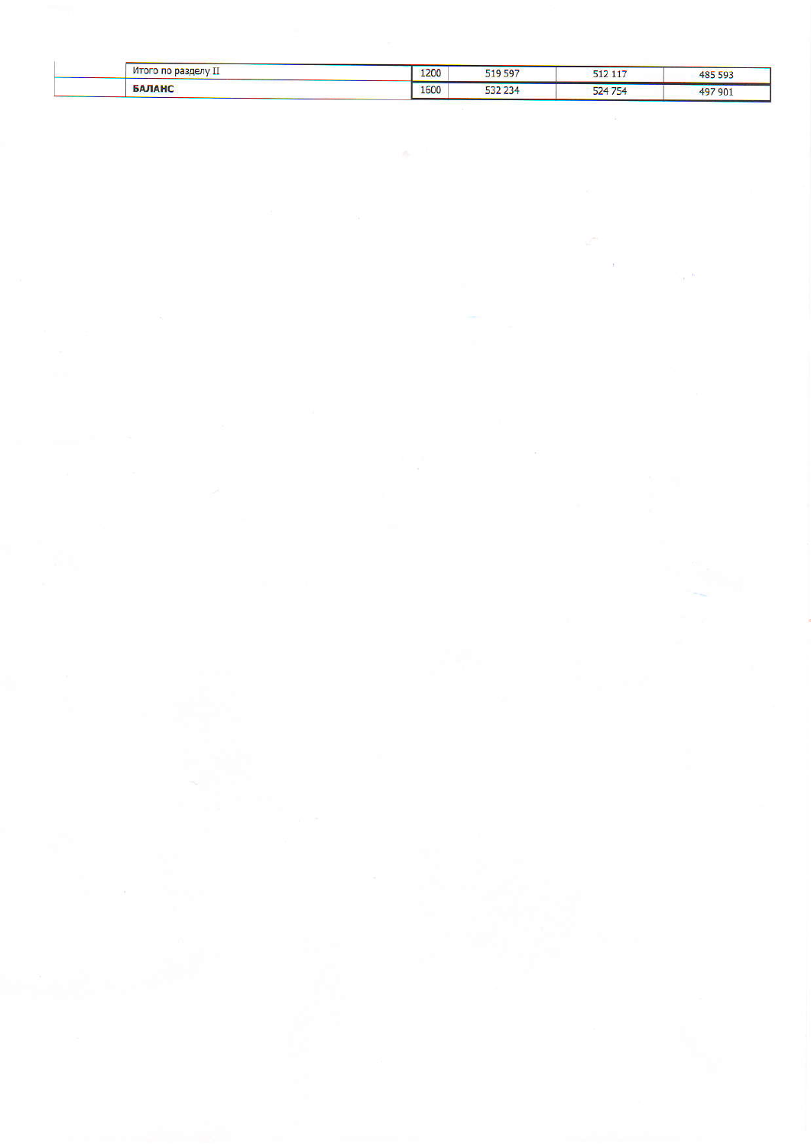| Итого по разделу II | 1200 | 519 597 | 512 117 | 485 593 |
|---------------------|------|---------|---------|---------|
| <b>БАЛАНС</b>       | 1600 | 532 234 | 524 754 | 497 901 |

 $\sim$